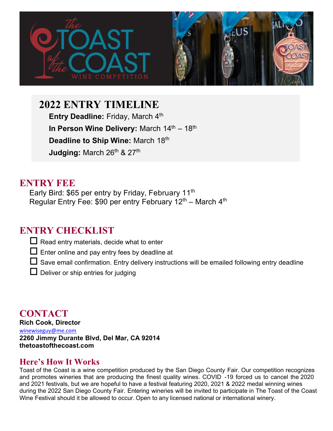

**2022 ENTRY TIMELINE** 

**Entry Deadline: Friday, March 4th In Person Wine Delivery: March 14th – 18th Deadline to Ship Wine:** March 18 th **Judging:** March 26<sup>th</sup> & 27<sup>th</sup>

# **ENTRY FEE**

Early Bird: \$65 per entry by Friday, February 11<sup>th</sup> Regular Entry Fee: \$90 per entry February 12<sup>th</sup> – March 4<sup>th</sup>

# **ENTRY CHECKLIST**

- $\Box$  Read entry materials, decide what to enter
- $\Box$  Enter online and pay entry fees by deadline at
- $\Box$  Save email confirmation. Entry delivery instructions will be emailed following entry deadline
- $\Box$  Deliver or ship entries for judging

**CONTACT Rich Cook, Director**  winewiseguy@me.com **2260 Jimmy Durante Blvd, Del Mar, CA 92014 thetoastofthecoast.com** 

## **Here's How It Works**

Toast of the Coast is a wine competition produced by the San Diego County Fair. Our competition recognizes and promotes wineries that are producing the finest quality wines. COVID -19 forced us to cancel the 2020 and 2021 festivals, but we are hopeful to have a festival featuring 2020, 2021 & 2022 medal winning wines during the 2022 San Diego County Fair. Entering wineries will be invited to participate in The Toast of the Coast Wine Festival should it be allowed to occur. Open to any licensed national or international winery.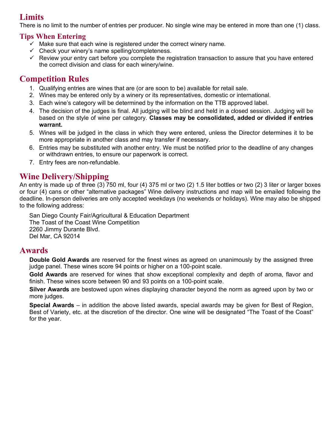## **Limits**

There is no limit to the number of entries per producer. No single wine may be entered in more than one (1) class.

### **Tips When Entering**

- $\checkmark$  Make sure that each wine is registered under the correct winery name.
- $\checkmark$  Check your winery's name spelling/completeness.
- $\checkmark$  Review your entry cart before you complete the registration transaction to assure that you have entered the correct division and class for each winery/wine.

## **Competition Rules**

- 1. Qualifying entries are wines that are (or are soon to be) available for retail sale.
- 2. Wines may be entered only by a winery or its representatives, domestic or international.
- 3. Each wine's category will be determined by the information on the TTB approved label.
- 4. The decision of the judges is final. All judging will be blind and held in a closed session. Judging will be based on the style of wine per category. **Classes may be consolidated, added or divided if entries warrant.**
- 5. Wines will be judged in the class in which they were entered, unless the Director determines it to be more appropriate in another class and may transfer if necessary.
- 6. Entries may be substituted with another entry. We must be notified prior to the deadline of any changes or withdrawn entries, to ensure our paperwork is correct.
- 7. Entry fees are non-refundable.

## **Wine Delivery/Shipping**

An entry is made up of three (3) 750 ml, four (4) 375 ml or two (2) 1.5 liter bottles or two (2) 3 liter or larger boxes or four (4) cans or other "alternative packages" Wine delivery instructions and map will be emailed following the deadline. In-person deliveries are only accepted weekdays (no weekends or holidays). Wine may also be shipped to the following address:

San Diego County Fair/Agricultural & Education Department The Toast of the Coast Wine Competition 2260 Jimmy Durante Blvd. Del Mar, CA 92014

### **Awards**

**Double Gold Awards** are reserved for the finest wines as agreed on unanimously by the assigned three judge panel. These wines score 94 points or higher on a 100-point scale.

**Gold Awards** are reserved for wines that show exceptional complexity and depth of aroma, flavor and finish. These wines score between 90 and 93 points on a 100-point scale.

**Silver Awards** are bestowed upon wines displaying character beyond the norm as agreed upon by two or more judges.

**Special Awards** – in addition the above listed awards, special awards may be given for Best of Region, Best of Variety, etc. at the discretion of the director. One wine will be designated "The Toast of the Coast" for the year.